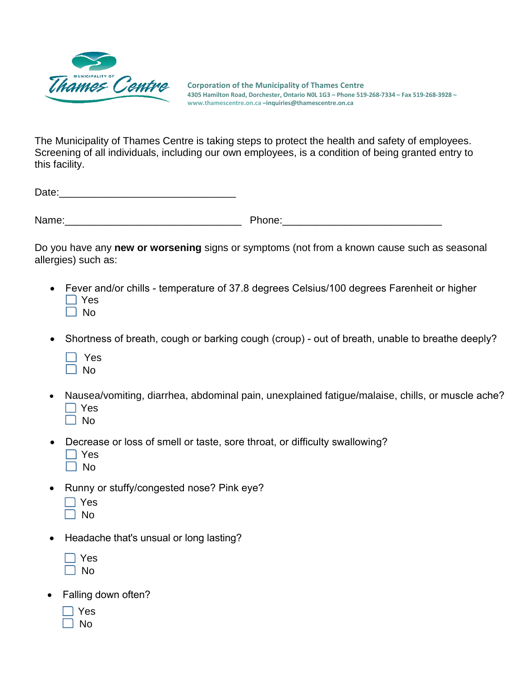

**Corporation of the Municipality of Thames Centre 4305 Hamilton Road, Dorchester, Ontario N0L 1G3 – Phone 519-268-7334 – Fax 519-268-3928 – [www.thamescentre.on.ca –](http://www.thamescentre.on.ca/)inquiries@thamescentre.on.ca**

The Municipality of Thames Centre is taking steps to protect the health and safety of employees. Screening of all individuals, including our own employees, is a condition of being granted entry to this facility.

Date:\_\_\_\_\_\_\_\_\_\_\_\_\_\_\_\_\_\_\_\_\_\_\_\_\_\_\_\_\_\_\_

Name: where the contract of the Phone:  $\blacksquare$ 

Do you have any **new or worsening** signs or symptoms (not from a known cause such as seasonal allergies) such as:

- Fever and/or chills temperature of 37.8 degrees Celsius/100 degrees Farenheit or higher  $\Box$  Yes  $\Box$  No
- Shortness of breath, cough or barking cough (croup) out of breath, unable to breathe deeply?
	- □ Yes  $\Box$  No
- Nausea/vomiting, diarrhea, abdominal pain, unexplained fatigue/malaise, chills, or muscle ache?  $\Box$  Yes
	- $\Box$  No
- Decrease or loss of smell or taste, sore throat, or difficulty swallowing?
	- $\Box$  Yes
	- $\Box$  No
- Runny or stuffy/congested nose? Pink eye?
	- $\Box$  Yes
	- $\Box$  No
- Headache that's unsual or long lasting?
	- $\Box$  Yes  $\Box$  No
- Falling down often?
	- $\Box$  Yes
	- $\Box$  No